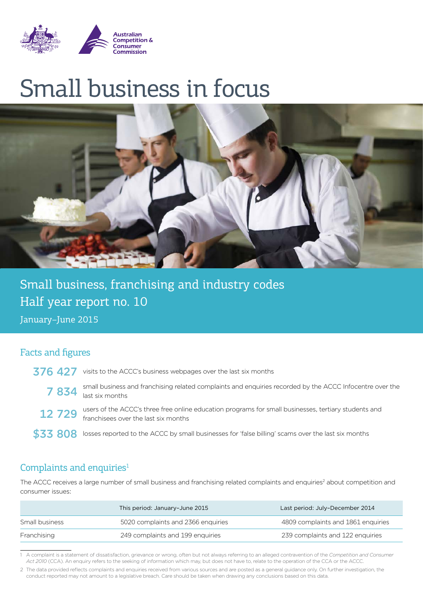

# Small business in focus



Small business, franchising and industry codes Half year report no. 10

January–June 2015

#### Facts and figures

- 376 427 visits to the ACCC's business webpages over the last six months
	- 7 834 small business and franchising related complaints and enquiries recorded by the ACCC Infocentre over the last six months
	- 12 729 users of the ACCC's three free online education programs for small businesses, tertiary students and franchisees over the last six months
- \$33 808 losses reported to the ACCC by small businesses for 'false billing' scams over the last six months

#### Complaints and enquiries $1$

The ACCC receives a large number of small business and franchising related complaints and enquiries<sup>2</sup> about competition and consumer issues:

|                | This period: January-June 2015     | Last period: July-December 2014    |
|----------------|------------------------------------|------------------------------------|
| Small business | 5020 complaints and 2366 enquiries | 4809 complaints and 1861 enquiries |
| Franchising    | 249 complaints and 199 enquiries   | 239 complaints and 122 enquiries   |

<sup>1</sup> A complaint is a statement of dissatisfaction, grievance or wrong, often but not always referring to an alleged contravention of the *Competition and Consumer Act 2010* (CCA). An enquiry refers to the seeking of information which may, but does not have to, relate to the operation of the CCA or the ACCC.

<sup>2</sup> The data provided reflects complaints and enquiries received from various sources and are posted as a general guidance only. On further investigation, the conduct reported may not amount to a legislative breach. Care should be taken when drawing any conclusions based on this data.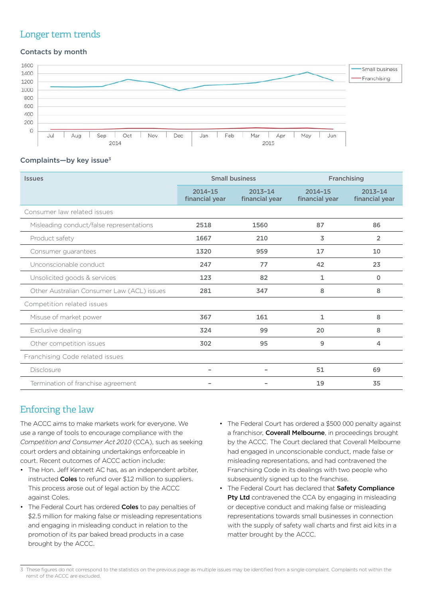#### Longer term trends

#### Contacts by month



#### Complaints-by key issue<sup>3</sup>

| <b>Issues</b>                              | <b>Small business</b>         |                               | Franchising                   |                               |
|--------------------------------------------|-------------------------------|-------------------------------|-------------------------------|-------------------------------|
|                                            | $2014 - 15$<br>financial year | $2013 - 14$<br>financial year | $2014 - 15$<br>financial year | $2013 - 14$<br>financial year |
| Consumer law related issues                |                               |                               |                               |                               |
| Misleading conduct/false representations   | 2518                          | 1560                          | 87                            | 86                            |
| Product safety                             | 1667                          | 210                           | 3                             | $\overline{2}$                |
| Consumer guarantees                        | 1320                          | 959                           | 17                            | 10                            |
| Unconscionable conduct                     | 247                           | 77                            | 42                            | 23                            |
| Unsolicited goods & services               | 123                           | 82                            | 1                             | 0                             |
| Other Australian Consumer Law (ACL) issues | 281                           | 347                           | 8                             | 8                             |
| Competition related issues                 |                               |                               |                               |                               |
| Misuse of market power                     | 367                           | 161                           | 1                             | 8                             |
| Exclusive dealing                          | 324                           | 99                            | 20                            | 8                             |
| Other competition issues                   | 302                           | 95                            | 9                             | 4                             |
| Franchising Code related issues            |                               |                               |                               |                               |
| <b>Disclosure</b>                          |                               |                               | 51                            | 69                            |
| Termination of franchise agreement         |                               |                               | 19                            | 35                            |

## Enforcing the law

The ACCC aims to make markets work for everyone. We use a range of tools to encourage compliance with the *Competition and Consumer Act 2010* (CCA), such as seeking court orders and obtaining undertakings enforceable in court. Recent outcomes of ACCC action include:

- The Hon. Jeff Kennett AC has, as an independent arbiter, instructed **Coles** to refund over \$12 million to suppliers. This process arose out of legal action by the ACCC against Coles.
- The Federal Court has ordered **Coles** to pay penalties of \$2.5 million for making false or misleading representations and engaging in misleading conduct in relation to the promotion of its par baked bread products in a case brought by the ACCC.
- The Federal Court has ordered a \$500 000 penalty against a franchisor. Coverall Melbourne, in proceedings brought by the ACCC. The Court declared that Coverall Melbourne had engaged in unconscionable conduct, made false or misleading representations, and had contravened the Franchising Code in its dealings with two people who subsequently signed up to the franchise.
- The Federal Court has declared that Safety Compliance Pty Ltd contravened the CCA by engaging in misleading or deceptive conduct and making false or misleading representations towards small businesses in connection with the supply of safety wall charts and first aid kits in a matter brought by the ACCC.

<sup>3</sup> These figures do not correspond to the statistics on the previous page as multiple issues may be identified from a single complaint. Complaints not within the remit of the ACCC are excluded.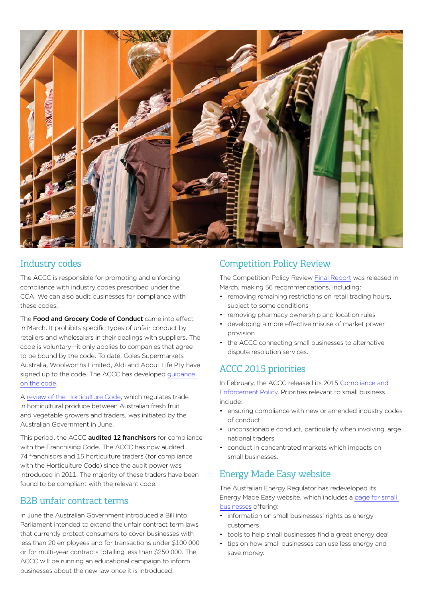

## Industry codes

The ACCC is responsible for promoting and enforcing compliance with industry codes prescribed under the CCA. We can also audit businesses for compliance with these codes.

The Food and Grocery Code of Conduct came into effect in March. It prohibits specific types of unfair conduct by retailers and wholesalers in their dealings with suppliers. The code is voluntary—it only applies to companies that agree to be bound by the code. To date, Coles Supermarkets Australia, Woolworths Limited, Aldi and About Life Pty have signed up to the code. The ACCC has developed [guidance](http://www.accc.gov.au/business/industry-codes/food-and-grocery-code-of-conduct)  [on the code.](http://www.accc.gov.au/business/industry-codes/food-and-grocery-code-of-conduct)

A [review of the Horticulture Code,](http://www.agriculture.gov.au/ag-farm-food/hort-policy/code-of-conduct) which regulates trade in horticultural produce between Australian fresh fruit and vegetable growers and traders, was initiated by the Australian Government in June.

This period, the ACCC **audited 12 franchisors** for compliance with the Franchising Code. The ACCC has now audited 74 franchisors and 15 horticulture traders (for compliance with the Horticulture Code) since the audit power was introduced in 2011. The majority of these traders have been found to be compliant with the relevant code.

#### B2B unfair contract terms

In June the Australian Government introduced a Bill into Parliament intended to extend the unfair contract term laws that currently protect consumers to cover businesses with less than 20 employees and for transactions under \$100 000 or for multi-year contracts totalling less than \$250 000. The ACCC will be running an educational campaign to inform businesses about the new law once it is introduced.

## Competition Policy Review

The Competition Policy Review [Final Report](http://competitionpolicyreview.gov.au/final-report/) was released in March, making 56 recommendations, including:

- removing remaining restrictions on retail trading hours, subject to some conditions
- removing pharmacy ownership and location rules
- developing a more effective misuse of market power provision
- the ACCC connecting small businesses to alternative dispute resolution services.

## ACCC [2015 priorities](http://www.accc.gov.au/publications/compliance-and-enforcement-policy)

In February, the ACCC released its 2015 [Compliance and](https://www.accc.gov.au/about-us/australian-competition-consumer-commission/compliance-enforcement-policy)  [Enforcement Policy](https://www.accc.gov.au/about-us/australian-competition-consumer-commission/compliance-enforcement-policy). Priorities relevant to small business include:

- ensuring compliance with new or amended industry codes of conduct
- unconscionable conduct, particularly when involving large national traders
- • conduct in concentrated markets which impacts on small businesses.

## Energy Made Easy website

The Australian Energy Regulator has redeveloped its Energy Made Easy website, which includes a [page for small](https://www.energymadeeasy.gov.au/get-energy-smart/energy-and-your-business)  [businesses](https://www.energymadeeasy.gov.au/get-energy-smart/energy-and-your-business) offering:

- information on small businesses' rights as energy customers
- tools to help small businesses find a great energy deal
- tips on how small businesses can use less energy and save money.